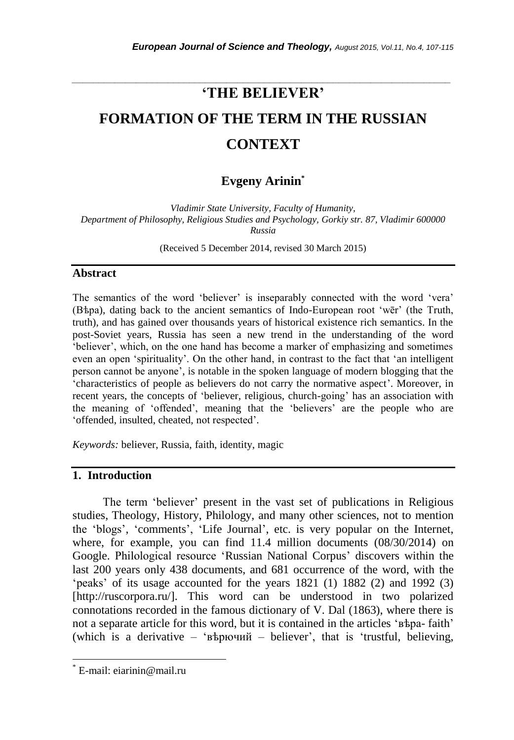# *\_\_\_\_\_\_\_\_\_\_\_\_\_\_\_\_\_\_\_\_\_\_\_\_\_\_\_\_\_\_\_\_\_\_\_\_\_\_\_\_\_\_\_\_\_\_\_\_\_\_\_\_\_\_\_\_\_\_\_\_\_\_\_\_\_\_\_\_\_\_\_* **'THE BELIEVER'**

# **FORMATION OF THE TERM IN THE RUSSIAN CONTEXT**

# **Evgeny Arinin \***

*Vladimir State University, Faculty of Humanity, Department of Philosophy, Religious Studies and Psychology, Gorkiy str. 87, Vladimir 600000 Russia*

(Received 5 December 2014, revised 30 March 2015)

#### **Abstract**

The semantics of the word "believer" is inseparably connected with the word "vera" (Вѣра), dating back to the ancient semantics of Indo-European root "wēr" (the Truth, truth), and has gained over thousands years of historical existence rich semantics. In the post-Soviet years, Russia has seen a new trend in the understanding of the word "believer", which, on the one hand has become a marker of emphasizing and sometimes even an open "spirituality". On the other hand, in contrast to the fact that "an intelligent person cannot be anyone", is notable in the spoken language of modern blogging that the "characteristics of people as believers do not carry the normative aspect". Moreover, in recent years, the concepts of "believer, religious, church-going" has an association with the meaning of "offended", meaning that the "believers" are the people who are "offended, insulted, cheated, not respected".

*Keywords:* believer, Russia, faith, identity, magic

### **1. Introduction**

The term "believer" present in the vast set of publications in Religious studies, Theology, History, Philology, and many other sciences, not to mention the 'blogs', 'comments', 'Life Journal', etc. is very popular on the Internet, where, for example, you can find 11.4 million documents (08/30/2014) on Google. Philological resource "Russian National Corpus" discovers within the last 200 years only 438 documents, and 681 occurrence of the word, with the "peaks" of its usage accounted for the years  $1821$  (1)  $1882$  (2) and  $1992$  (3) [http://ruscorpora.ru/]. This word can be understood in two polarized connotations recorded in the famous dictionary of V. Dal (1863), where there is not a separate article for this word, but it is contained in the articles ' $\beta$ b above faith' (which is a derivative – "вѣрючий – believer", that is "trustful, believing,

l

E-mail: eiarinin@mail.ru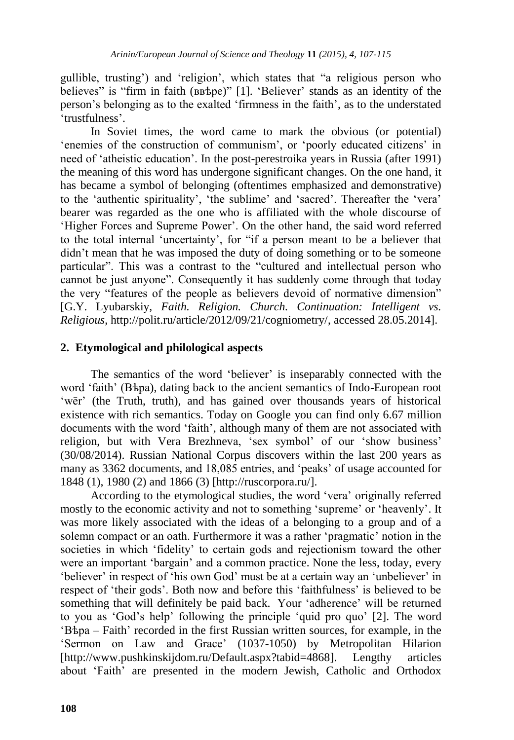gullible, trusting") and "religion", which states that "a religious person who believes" is "firm in faith (ввѣре)" [1]. 'Believer' stands as an identity of the person"s belonging as to the exalted "firmness in the faith", as to the understated "trustfulness".

In Soviet times, the word came to mark the obvious (or potential) "enemies of the construction of communism", or "poorly educated citizens" in need of "atheistic education". In the post-perestroika years in Russia (after 1991) the meaning of this word has undergone significant changes. On the one hand, it has became a symbol of belonging (oftentimes emphasized and demonstrative) to the 'authentic spirituality', 'the sublime' and 'sacred'. Thereafter the 'vera' bearer was regarded as the one who is affiliated with the whole discourse of "Higher Forces and Supreme Power". On the other hand, the said word referred to the total internal "uncertainty", for "if a person meant to be a believer that didn"t mean that he was imposed the duty of doing something or to be someone particular". This was a contrast to the "cultured and intellectual person who cannot be just anyone". Consequently it has suddenly come through that today the very "features of the people as believers devoid of normative dimension" [G.Y. Lyubarskiy, *Faith. Religion. Church. Continuation: Intelligent vs. Religious*, http://polit.ru/article/2012/09/21/cogniometry/, accessed 28.05.2014].

## **2. Etymological and philological aspects**

The semantics of the word 'believer' is inseparably connected with the word 'faith' (B $b$ pa), dating back to the ancient semantics of Indo-European root 'wēr' (the Truth, truth), and has gained over thousands years of historical existence with rich semantics. Today on Google you can find only 6.67 million documents with the word "faith", although many of them are not associated with religion, but with Vera Brezhneva, 'sex symbol' of our 'show business' (30/08/2014). Russian National Corpus discovers within the last 200 years as many as 3362 documents, and 18,085 entries, and 'peaks' of usage accounted for 1848 (1), 1980 (2) and 1866 (3) [http://ruscorpora.ru/].

According to the etymological studies, the word "vera" originally referred mostly to the economic activity and not to something "supreme" or "heavenly". It was more likely associated with the ideas of a belonging to a group and of a solemn compact or an oath. Furthermore it was a rather "pragmatic" notion in the societies in which "fidelity" to certain gods and rejectionism toward the other were an important "bargain" and a common practice. None the less, today, every "believer" in respect of "his own God" must be at a certain way an "unbeliever" in respect of 'their gods'. Both now and before this 'faithfulness' is believed to be something that will definitely be paid back. Your "adherence" will be returned to you as "God"s help" following the principle "quid pro quo" [2]. The word "Вѣра – Faith" recorded in the first Russian written sources, for example, in the "Sermon on Law and Grace" (1037-1050) by Metropolitan Hilarion [http://www.pushkinskijdom.ru/Default.aspx?tabid=4868]. Lengthy articles about "Faith" are presented in the modern Jewish, Catholic and Orthodox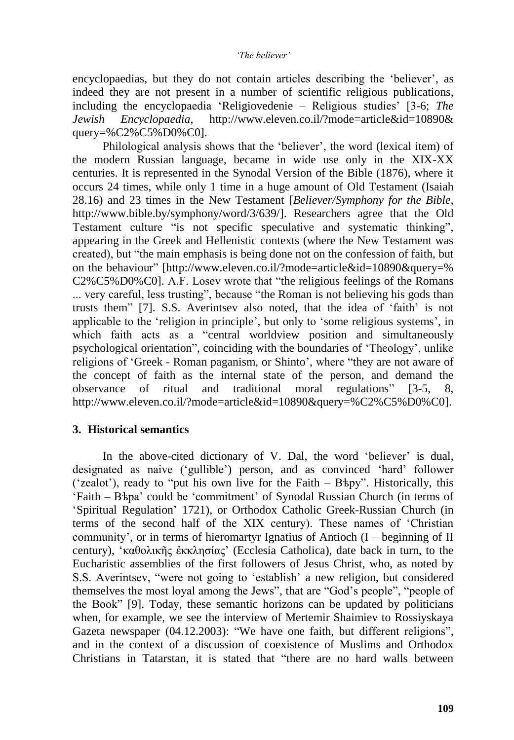encyclopaedias, but they do not contain articles describing the "believer", as indeed they are not present in a number of scientific religious publications, including the encyclopaedia "Religiovedenie – Religious studies" [3-6; *The Jewish Encyclopaedia*, http://www.eleven.co.il/?mode=article&id=10890& query=%C2%C5%D0%C0].

Philological analysis shows that the "believer", the word (lexical item) of the modern Russian language, became in wide use only in the XIX-XX centuries. It is represented in the Synodal Version of the Bible (1876), where it occurs 24 times, while only 1 time in a huge amount of Old Testament (Isaiah 28.16) and 23 times in the New Testament [*Believer/Symphony for the Bible*, http://www.bible.by/symphony/word/3/639/]. Researchers agree that the Old Testament culture "is not specific speculative and systematic thinking", appearing in the Greek and Hellenistic contexts (where the New Testament was created), but "the main emphasis is being done not on the confession of faith, but on the behaviour" [http://www.eleven.co.il/?mode=article&id=10890&query=% C2%C5%D0%C0]. A.F. Losev wrote that "the religious feelings of the Romans ... very careful, less trusting", because "the Roman is not believing his gods than trusts them" [7]. S.S. Averintsev also noted, that the idea of "faith" is not applicable to the "religion in principle", but only to "some religious systems", in which faith acts as a "central worldview position and simultaneously psychological orientation", coinciding with the boundaries of "Theology", unlike religions of "Greek - Roman paganism, or Shinto", where "they are not aware of the concept of faith as the internal state of the person, and demand the observance of ritual and traditional moral regulations" [3-5, 8, http://www.eleven.co.il/?mode=article&id=10890&query=%C2%C5%D0%C0].

## **3. Historical semantics**

In the above-cited dictionary of V. Dal, the word 'believer' is dual, designated as naive ("gullible") person, and as convinced "hard" follower ("zealot"), ready to "put his own live for the Faith – Вѣру". Historically, this "Faith – Вѣра" could be "commitment" of Synodal Russian Church (in terms of "Spiritual Regulation" 1721), or Orthodox Catholic Greek-Russian Church (in terms of the second half of the XIX century). These names of "Christian community', or in terms of hieromartyr Ignatius of Antioch  $(I - beginning$  of II century), "καθολικῆς ἐκκλησίας" (Ecclesia Catholica), date back in turn, to the Eucharistic assemblies of the first followers of Jesus Christ, who, as noted by S.S. Averintsev, "were not going to "establish" a new religion, but considered themselves the most loyal among the Jews", that are "God"s people", "people of the Book" [9]. Today, these semantic horizons can be updated by politicians when, for example, we see the interview of Mertemir Shaimiev to Rossiyskaya Gazeta newspaper (04.12.2003): "We have one faith, but different religions", and in the context of a discussion of coexistence of Muslims and Orthodox Christians in Tatarstan, it is stated that "there are no hard walls between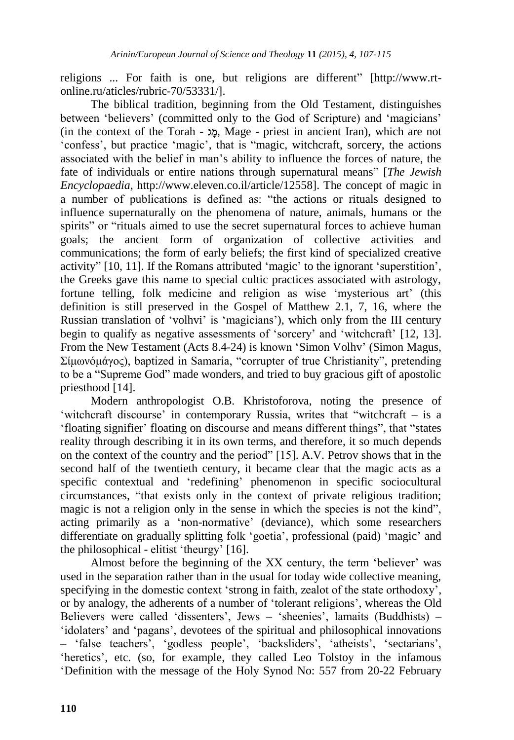religions ... For faith is one, but religions are different" [http://www.rtonline.ru/aticles/rubric-70/53331/].

The biblical tradition, beginning from the Old Testament, distinguishes between 'believers' (committed only to the God of Scripture) and 'magicians' (in the context of the Torah -  $x_2$ , Mage - priest in ancient Iran), which are not 'confess', but practice 'magic', that is "magic, witchcraft, sorcery, the actions associated with the belief in man"s ability to influence the forces of nature, the fate of individuals or entire nations through supernatural means" [*The Jewish Encyclopaedia*, http://www.eleven.co.il/article/12558]. The concept of magic in a number of publications is defined as: "the actions or rituals designed to influence supernaturally on the phenomena of nature, animals, humans or the spirits" or "rituals aimed to use the secret supernatural forces to achieve human goals; the ancient form of organization of collective activities and communications; the form of early beliefs; the first kind of specialized creative activity" [10, 11]. If the Romans attributed "magic" to the ignorant "superstition", the Greeks gave this name to special cultic practices associated with astrology, fortune telling, folk medicine and religion as wise 'mysterious art' (this definition is still preserved in the Gospel of Matthew 2.1, 7, 16, where the Russian translation of 'volhvi' is 'magicians'), which only from the III century begin to qualify as negative assessments of 'sorcery' and 'witchcraft' [12, 13]. From the New Testament (Acts 8.4-24) is known "Simon Volhv" (Simon Magus, Σίμωνόμάγος), baptized in Samaria, "corrupter of true Christianity", pretending to be a "Supreme God" made wonders, and tried to buy gracious gift of apostolic priesthood [14].

Modern anthropologist O.B. Khristoforova, noting the presence of 'witchcraft discourse' in contemporary Russia, writes that "witchcraft  $-$  is a "floating signifier" floating on discourse and means different things", that "states reality through describing it in its own terms, and therefore, it so much depends on the context of the country and the period" [15]. A.V. Petrov shows that in the second half of the twentieth century, it became clear that the magic acts as a specific contextual and "redefining" phenomenon in specific sociocultural circumstances, "that exists only in the context of private religious tradition; magic is not a religion only in the sense in which the species is not the kind", acting primarily as a "non-normative" (deviance), which some researchers differentiate on gradually splitting folk "goetia", professional (paid) "magic" and the philosophical - elitist "theurgy" [16].

Almost before the beginning of the XX century, the term 'believer' was used in the separation rather than in the usual for today wide collective meaning, specifying in the domestic context "strong in faith, zealot of the state orthodoxy", or by analogy, the adherents of a number of "tolerant religions", whereas the Old Believers were called "dissenters", Jews – "sheenies", lamaits (Buddhists) – "idolaters" and "pagans", devotees of the spiritual and philosophical innovations – "false teachers", "godless people", "backsliders", "atheists", "sectarians", 'heretics', etc. (so, for example, they called Leo Tolstoy in the infamous "Definition with the message of the Holy Synod No: 557 from 20-22 February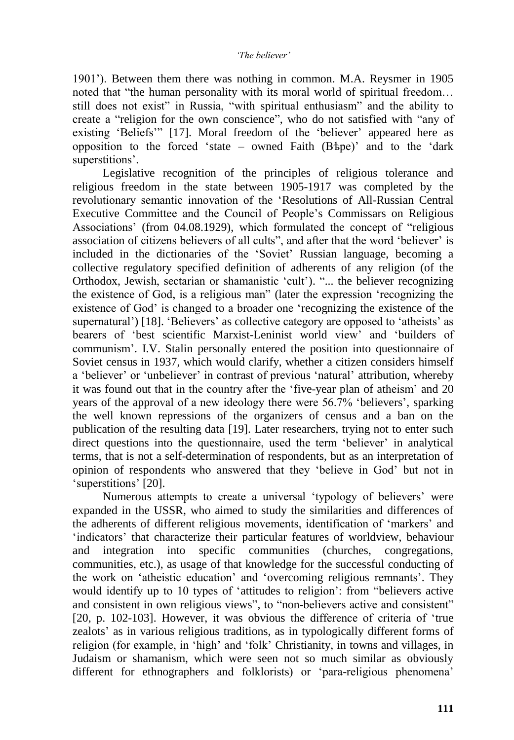1901"). Between them there was nothing in common. M.A. Reysmer in 1905 noted that "the human personality with its moral world of spiritual freedom… still does not exist" in Russia, "with spiritual enthusiasm" and the ability to create a "religion for the own conscience", who do not satisfied with "any of existing 'Beliefs'" [17]. Moral freedom of the 'believer' appeared here as opposition to the forced 'state – owned Faith  $(B \text{the})$ ' and to the 'dark superstitions'.

Legislative recognition of the principles of religious tolerance and religious freedom in the state between 1905-1917 was completed by the revolutionary semantic innovation of the "Resolutions of All-Russian Central Executive Committee and the Council of People"s Commissars on Religious Associations" (from 04.08.1929), which formulated the concept of "religious association of citizens believers of all cults", and after that the word "believer" is included in the dictionaries of the "Soviet" Russian language, becoming a collective regulatory specified definition of adherents of any religion (of the Orthodox, Jewish, sectarian or shamanistic 'cult'). "... the believer recognizing the existence of God, is a religious man" (later the expression "recognizing the existence of God" is changed to a broader one "recognizing the existence of the supernatural") [18]. "Believers" as collective category are opposed to "atheists" as bearers of "best scientific Marxist-Leninist world view" and "builders of communism". I.V. Stalin personally entered the position into questionnaire of Soviet census in 1937, which would clarify, whether a citizen considers himself a "believer" or "unbeliever" in contrast of previous "natural" attribution, whereby it was found out that in the country after the "five-year plan of atheism" and 20 years of the approval of a new ideology there were 56.7% "believers", sparking the well known repressions of the organizers of census and a ban on the publication of the resulting data [19]. Later researchers, trying not to enter such direct questions into the questionnaire, used the term 'believer' in analytical terms, that is not a self-determination of respondents, but as an interpretation of opinion of respondents who answered that they "believe in God" but not in 'superstitions' [20].

Numerous attempts to create a universal 'typology of believers' were expanded in the USSR, who aimed to study the similarities and differences of the adherents of different religious movements, identification of "markers" and 'indicators' that characterize their particular features of worldview, behaviour and integration into specific communities (churches, congregations, communities, etc.), as usage of that knowledge for the successful conducting of the work on "atheistic education" and "overcoming religious remnants". They would identify up to 10 types of "attitudes to religion": from "believers active and consistent in own religious views", to "non-believers active and consistent" [20, p. 102-103]. However, it was obvious the difference of criteria of "true zealots" as in various religious traditions, as in typologically different forms of religion (for example, in "high" and "folk" Christianity, in towns and villages, in Judaism or shamanism, which were seen not so much similar as obviously different for ethnographers and folklorists) or 'para-religious phenomena'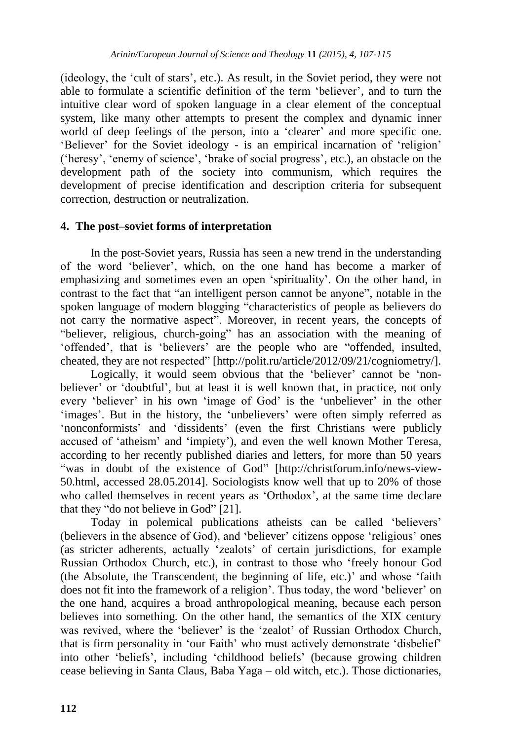(ideology, the "cult of stars", etc.). As result, in the Soviet period, they were not able to formulate a scientific definition of the term "believer", and to turn the intuitive clear word of spoken language in a clear element of the conceptual system, like many other attempts to present the complex and dynamic inner world of deep feelings of the person, into a 'clearer' and more specific one. 'Believer' for the Soviet ideology - is an empirical incarnation of 'religion' ("heresy", "enemy of science", "brake of social progress", etc.), an obstacle on the development path of the society into communism, which requires the development of precise identification and description criteria for subsequent correction, destruction or neutralization.

## **4. The post–soviet forms of interpretation**

In the post-Soviet years, Russia has seen a new trend in the understanding of the word "believer", which, on the one hand has become a marker of emphasizing and sometimes even an open "spirituality". On the other hand, in contrast to the fact that "an intelligent person cannot be anyone", notable in the spoken language of modern blogging "characteristics of people as believers do not carry the normative aspect". Moreover, in recent years, the concepts of "believer, religious, church-going" has an association with the meaning of "offended", that is "believers" are the people who are "offended, insulted, cheated, they are not respected" [http://polit.ru/article/2012/09/21/cogniometry/].

Logically, it would seem obvious that the 'believer' cannot be 'nonbeliever' or 'doubtful', but at least it is well known that, in practice, not only every 'believer' in his own 'image of God' is the 'unbeliever' in the other 'images'. But in the history, the 'unbelievers' were often simply referred as "nonconformists" and "dissidents" (even the first Christians were publicly accused of "atheism" and "impiety"), and even the well known Mother Teresa, according to her recently published diaries and letters, for more than 50 years "was in doubt of the existence of God" [http://christforum.info/news-view-50.html, accessed 28.05.2014]. Sociologists know well that up to 20% of those who called themselves in recent years as 'Orthodox', at the same time declare that they "do not believe in God" [21].

Today in polemical publications atheists can be called "believers" (believers in the absence of God), and "believer" citizens oppose "religious" ones (as stricter adherents, actually "zealots" of certain jurisdictions, for example Russian Orthodox Church, etc.), in contrast to those who "freely honour God (the Absolute, the Transcendent, the beginning of life, etc.)" and whose "faith does not fit into the framework of a religion". Thus today, the word "believer" on the one hand, acquires a broad anthropological meaning, because each person believes into something. On the other hand, the semantics of the XIX century was revived, where the 'believer' is the 'zealot' of Russian Orthodox Church, that is firm personality in "our Faith" who must actively demonstrate "disbelief" into other "beliefs", including "childhood beliefs" (because growing children cease believing in Santa Claus, Baba Yaga – old witch, etc.). Those dictionaries,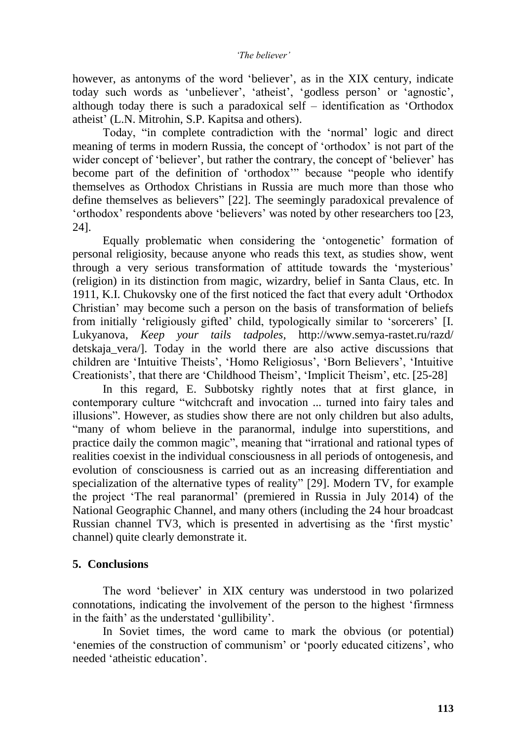however, as antonyms of the word 'believer', as in the XIX century, indicate today such words as 'unbeliever', 'atheist', 'godless person' or 'agnostic', although today there is such a paradoxical self – identification as "Orthodox atheist" (L.N. Mitrohin, S.P. Kapitsa and others).

Today, "in complete contradiction with the "normal" logic and direct meaning of terms in modern Russia, the concept of "orthodox" is not part of the wider concept of 'believer', but rather the contrary, the concept of 'believer' has become part of the definition of "orthodox"" because "people who identify themselves as Orthodox Christians in Russia are much more than those who define themselves as believers" [22]. The seemingly paradoxical prevalence of "orthodox" respondents above "believers" was noted by other researchers too [23, 24].

Equally problematic when considering the "ontogenetic" formation of personal religiosity, because anyone who reads this text, as studies show, went through a very serious transformation of attitude towards the "mysterious" (religion) in its distinction from magic, wizardry, belief in Santa Claus, etc. In 1911, K.I. Chukovsky one of the first noticed the fact that every adult "Orthodox Christian" may become such a person on the basis of transformation of beliefs from initially "religiously gifted" child, typologically similar to "sorcerers" [I. Lukyanova, *Keep your tails tadpoles*, http://www.semya-rastet.ru/razd/ detskaja\_vera/]. Today in the world there are also active discussions that children are "Intuitive Theists", "Homo Religiosus", "Born Believers", "Intuitive Creationists', that there are 'Childhood Theism', 'Implicit Theism', etc. [25-28]

In this regard, E. Subbotsky rightly notes that at first glance, in contemporary culture "witchcraft and invocation ... turned into fairy tales and illusions". However, as studies show there are not only children but also adults, "many of whom believe in the paranormal, indulge into superstitions, and practice daily the common magic", meaning that "irrational and rational types of realities coexist in the individual consciousness in all periods of ontogenesis, and evolution of consciousness is carried out as an increasing differentiation and specialization of the alternative types of reality" [29]. Modern TV, for example the project "The real paranormal" (premiered in Russia in July 2014) of the National Geographic Channel, and many others (including the 24 hour broadcast Russian channel TV3, which is presented in advertising as the "first mystic" channel) quite clearly demonstrate it.

## **5. Conclusions**

The word "believer" in XIX century was understood in two polarized connotations, indicating the involvement of the person to the highest "firmness in the faith' as the understated 'gullibility'.

In Soviet times, the word came to mark the obvious (or potential) 'enemies of the construction of communism' or 'poorly educated citizens', who needed "atheistic education".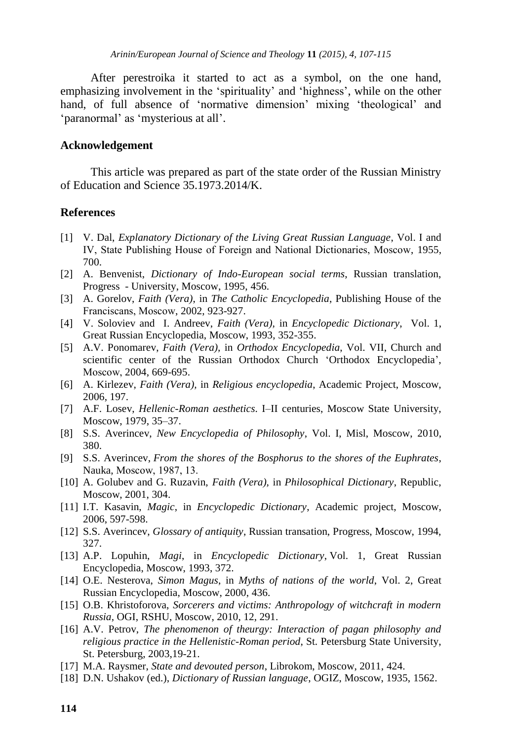After perestroika it started to act as a symbol, on the one hand, emphasizing involvement in the 'spirituality' and 'highness', while on the other hand, of full absence of 'normative dimension' mixing 'theological' and 'paranormal' as 'mysterious at all'.

#### **Acknowledgement**

This article was prepared as part of the state order of the Russian Ministry of Education and Science 35.1973.2014/K.

#### **References**

- [1] V. Dal, *Explanatory Dictionary of the Living Great Russian Language*, Vol. I and IV, State Publishing House of Foreign and National Dictionaries, Мoscow, 1955, 700.
- [2] A. Benvenist, *Dictionary of Indo-European social terms*, Russian translation, Progress - University, Moscow, 1995, 456.
- [3] A. Gorelov, *Faith (Vera)*, in *The Catholic Encyclopedia*, Publishing House of the Franciscans, Мoscow, 2002, 923-927.
- [4] V. Soloviev and I. Andreev, *Faith (Vera),* in *Encyclopedic Dictionary*, Vol. 1, Great Russian Encyclopedia, Moscow, 1993, 352-355.
- [5] A.V. Ponomarev, *Faith (Vera),* in *Orthodox Encyclopedia*, Vol. VII, Church and scientific center of the Russian Orthodox Church 'Orthodox Encyclopedia', Мoscow, 2004, 669-695.
- [6] A. Kirlezev, *Faith (Vera),* in *Religious encyclopedia*, Academic Project, Moscow, 2006, 197.
- [7] A.F. Losev, *Hellenic-Roman aesthetics*. I–II centuries, Moscow State University, Moscow, 1979, 35–37.
- [8] S.S. Averincev, *New Encyclopedia of Philosophy*, Vol. I, Misl, Moscow, 2010, 380.
- [9] S.S. Averincev, *From the shores of the Bosphorus to the shores of the Euphrates*, Nauka, Мoscow, 1987, 13.
- [10] A. Golubev and G. Ruzavin, *Faith (Vera),* in *Philosophical Dictionary*, Republic, Moscow, 2001, 304.
- [11] I.T. Kasavin, *Magic*, in *Encyclopedic Dictionary*, Academic project, Moscow, 2006, 597-598.
- [12] S.S. Averincev, *Glossary of antiquity*, Russian transation, Progress, Moscow, 1994, 327.
- [13] A.P. Lopuhin, *Magi*, in *Encyclopedic Dictionary*, Vol. 1, Great Russian Encyclopedia, Moscow, 1993, 372.
- [14] O.E. Nesterova, *Simon Magus*, in *Myths of nations of the world*, Vol. 2, Great Russian Encyclopedia, Moscow, 2000, 436.
- [15] O.B. Khristoforova, *Sorcerers and victims: Anthropology of witchcraft in modern Russia*, OGI, RSHU, Moscow, 2010, 12, 291.
- [16] A.V. Petrov, *The phenomenon of theurgy: Interaction of pagan philosophy and religious practice in the Hellenistic-Roman period*, St. Petersburg State University, St. Petersburg, 2003,19-21.
- [17] M.A. Raysmer, *State and devouted person*, Librokom, Moscow, 2011, 424.
- [18] D.N. Ushakov (ed.), *Dictionary of Russian language*, OGIZ, Moscow, 1935, 1562.